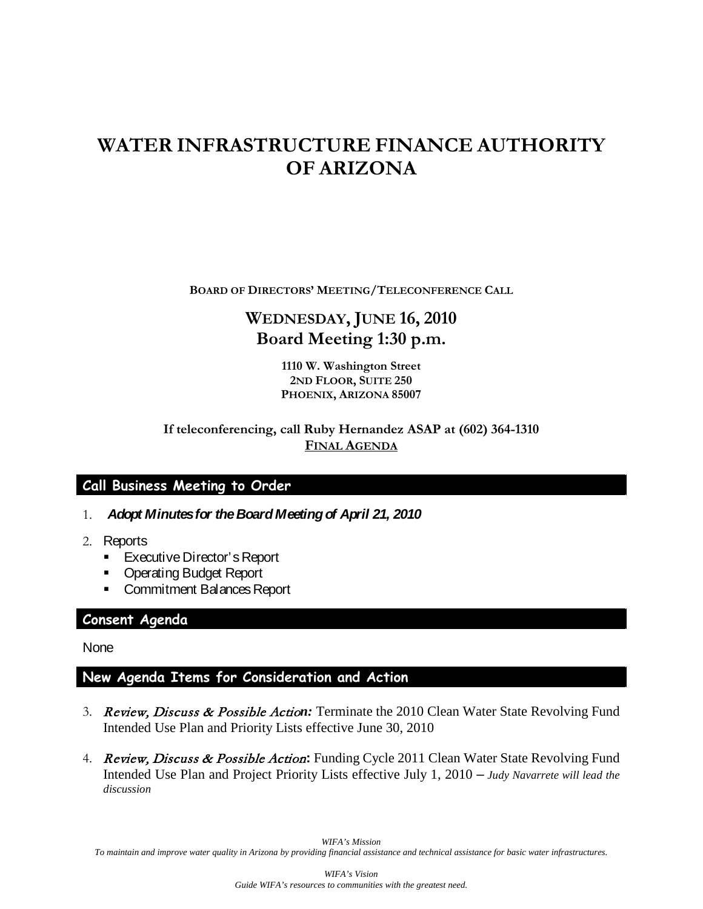# **WATER INFRASTRUCTURE FINANCE AUTHORITY OF ARIZONA**

**BOARD OF DIRECTORS' MEETING/TELECONFERENCE CALL**

# **WEDNESDAY, JUNE 16, 2010 Board Meeting 1:30 p.m.**

**1110 W. Washington Street 2ND FLOOR, SUITE 250 PHOENIX, ARIZONA 85007**

### **If teleconferencing, call Ruby Hernandez ASAP at (602) 364-1310 FINAL AGENDA**

## **Call Business Meeting to Order**

- 1. *Adopt Minutes for the Board Meeting of April 21, 2010*
- 2. Reports
	- **Executive Director's Report**
	- **Operating Budget Report**
	- **Commitment Balances Report**

#### **Consent Agenda**

**None** 

## **New Agenda Items for Consideration and Action**

- 3. Review, Discuss & Possible Actio*n:* Terminate the 2010 Clean Water State Revolving Fund Intended Use Plan and Priority Lists effective June 30, 2010
- 4. Review, Discuss & Possible Action**:** Funding Cycle 2011 Clean Water State Revolving Fund Intended Use Plan and Project Priority Lists effective July 1, 2010 – *Judy Navarrete will lead the discussion*

*WIFA's Mission To maintain and improve water quality in Arizona by providing financial assistance and technical assistance for basic water infrastructures.*